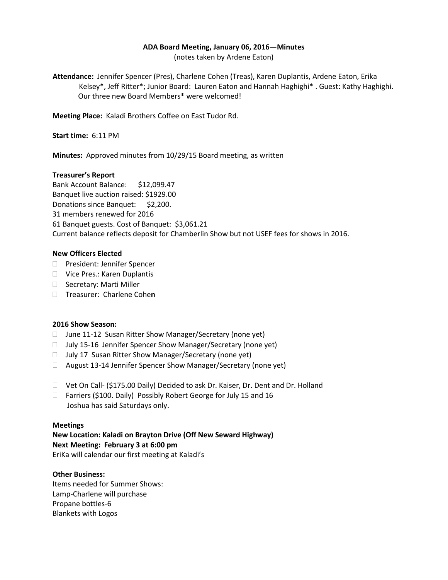### **ADA Board Meeting, January 06, 2016—Minutes**

(notes taken by Ardene Eaton)

**Attendance:** Jennifer Spencer (Pres), Charlene Cohen (Treas), Karen Duplantis, Ardene Eaton, Erika Kelsey\*, Jeff Ritter\*; Junior Board: Lauren Eaton and Hannah Haghighi\* . Guest: Kathy Haghighi. Our three new Board Members\* were welcomed!

**Meeting Place:** Kaladi Brothers Coffee on East Tudor Rd.

**Start time:** 6:11 PM

**Minutes:** Approved minutes from 10/29/15 Board meeting, as written

# **Treasurer's Report**

Bank Account Balance: \$12,099.47 Banquet live auction raised: \$1929.00 Donations since Banquet: \$2,200. 31 members renewed for 2016 61 Banquet guests. Cost of Banquet: \$3,061.21 Current balance reflects deposit for Chamberlin Show but not USEF fees for shows in 2016.

# **New Officers Elected**

- □ President: Jennifer Spencer
- □ Vice Pres.: Karen Duplantis
- □ Secretary: Marti Miller
- Treasurer: Charlene Cohe**n**

### **2016 Show Season:**

- □ June 11-12 Susan Ritter Show Manager/Secretary (none yet)
- □ July 15-16 Jennifer Spencer Show Manager/Secretary (none yet)
- $\Box$  July 17 Susan Ritter Show Manager/Secretary (none yet)
- □ August 13-14 Jennifer Spencer Show Manager/Secretary (none yet)
- □ Vet On Call- (\$175.00 Daily) Decided to ask Dr. Kaiser, Dr. Dent and Dr. Holland
- □ Farriers (\$100. Daily) Possibly Robert George for July 15 and 16 Joshua has said Saturdays only.

### **Meetings**

**New Location: Kaladi on Brayton Drive (Off New Seward Highway) Next Meeting: February 3 at 6:00 pm** EriKa will calendar our first meeting at Kaladi's

### **Other Business:**

Items needed for Summer Shows: Lamp-Charlene will purchase Propane bottles-6 Blankets with Logos